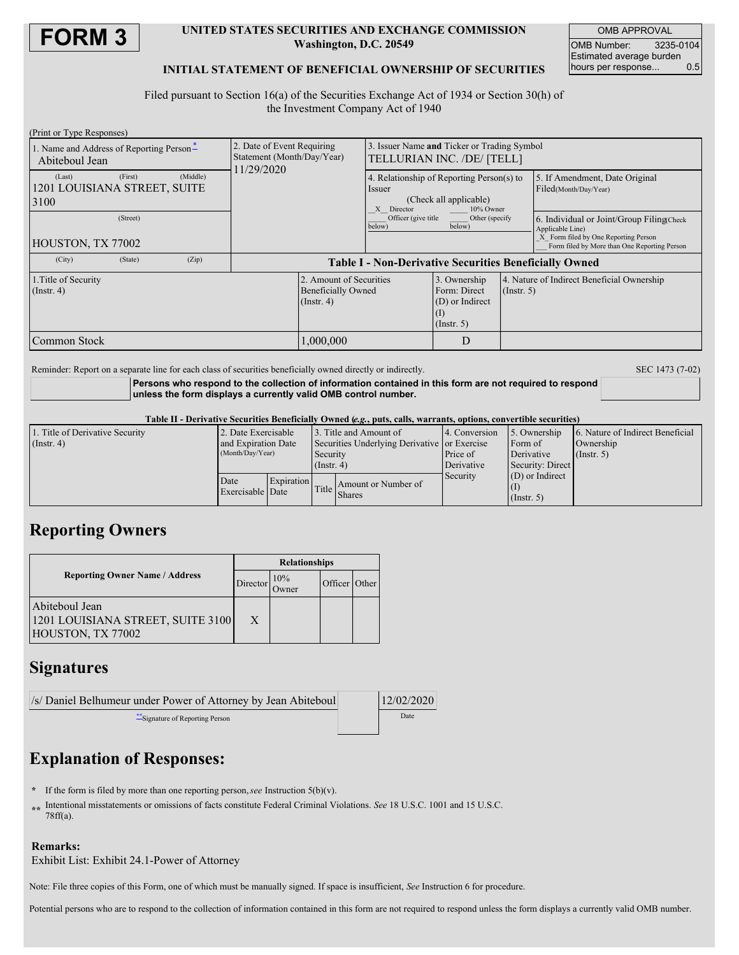

### **UNITED STATES SECURITIES AND EXCHANGE COMMISSION Washington, D.C. 20549**

OMB APPROVAL OMB Number: 3235-0104 Estimated average burden hours per response... 0.5

## **INITIAL STATEMENT OF BENEFICIAL OWNERSHIP OF SECURITIES**

Filed pursuant to Section 16(a) of the Securities Exchange Act of 1934 or Section 30(h) of the Investment Company Act of 1940

| (Print or Type Responses)                                  |         |          |                                                                       |                                                                          |                                                                                                             |                                                                     |             |                                                                                                                                                       |  |
|------------------------------------------------------------|---------|----------|-----------------------------------------------------------------------|--------------------------------------------------------------------------|-------------------------------------------------------------------------------------------------------------|---------------------------------------------------------------------|-------------|-------------------------------------------------------------------------------------------------------------------------------------------------------|--|
| 1. Name and Address of Reporting Person-<br>Abiteboul Jean |         |          | 2. Date of Event Requiring<br>Statement (Month/Day/Year)<br>1/29/2020 |                                                                          | Issuer Name and Ticker or Trading Symbol<br>TELLURIAN INC. /DE/ [TELL]                                      |                                                                     |             |                                                                                                                                                       |  |
| (Last)<br>1201 LOUISIANA STREET, SUITE<br>3100             | (First) | (Middle) |                                                                       |                                                                          | 4. Relationship of Reporting Person(s) to<br>Issuer<br>(Check all applicable)<br>10% Owner<br>Director<br>X |                                                                     |             | 5. If Amendment, Date Original<br>Filed(Month/Day/Year)                                                                                               |  |
| (Street)<br>HOUSTON, TX 77002                              |         |          |                                                                       |                                                                          | Officer (give title<br>Other (specify<br>below)<br>below)                                                   |                                                                     |             | 6. Individual or Joint/Group Filing Check<br>Applicable Line)<br>X Form filed by One Reporting Person<br>Form filed by More than One Reporting Person |  |
| (City)                                                     | (State) | (Zip)    | <b>Table I - Non-Derivative Securities Beneficially Owned</b>         |                                                                          |                                                                                                             |                                                                     |             |                                                                                                                                                       |  |
| 1. Title of Security<br>$($ Instr. 4 $)$                   |         |          |                                                                       | 2. Amount of Securities<br><b>Beneficially Owned</b><br>$($ Instr. 4 $)$ |                                                                                                             | 3. Ownership<br>Form: Direct<br>(D) or Indirect<br>$($ Instr. 5 $)$ | (Insert, 5) | 4. Nature of Indirect Beneficial Ownership                                                                                                            |  |
| Common Stock                                               |         |          |                                                                       | 1,000,000                                                                |                                                                                                             | D                                                                   |             |                                                                                                                                                       |  |

Reminder: Report on a separate line for each class of securities beneficially owned directly or indirectly. SEC 1473 (7-02)

**Persons who respond to the collection of information contained in this form are not required to respond unless the form displays a currently valid OMB control number.**

#### Table II - Derivative Securities Beneficially Owned (e.g., puts, calls, warrants, options, convertible securities)

| 1. Title of Derivative Security<br>$($ Instr. 4 $)$ | 2. Date Exercisable<br>and Expiration Date |            | 13. Title and Amount of<br>Securities Underlying Derivative or Exercise |                                     | 4. Conversion          | 5. Ownership<br>Form of               | 6. Nature of Indirect Beneficial<br>Ownership |  |
|-----------------------------------------------------|--------------------------------------------|------------|-------------------------------------------------------------------------|-------------------------------------|------------------------|---------------------------------------|-----------------------------------------------|--|
|                                                     | (Month/Day/Year)                           |            | Security<br>$($ Instr. 4 $)$                                            |                                     | Price of<br>Derivative | Derivative<br>Security: Direct        | $($ Instr. 5 $)$                              |  |
|                                                     | Date<br>Exercisable Date                   | Expiration |                                                                         | Amount or Number of<br>Title Shares | Security               | $(D)$ or Indirect<br>$($ Instr. 5 $)$ |                                               |  |

## **Reporting Owners**

|                                                                          | <b>Relationships</b> |                      |               |  |  |  |
|--------------------------------------------------------------------------|----------------------|----------------------|---------------|--|--|--|
| <b>Reporting Owner Name / Address</b>                                    | Director             | 10%<br><b>J</b> wner | Officer Other |  |  |  |
| Abiteboul Jean<br>1201 LOUISIANA STREET, SUITE 3100<br>HOUSTON, TX 77002 | X                    |                      |               |  |  |  |

## **Signatures**

| /s/ Daniel Belhumeur under Power of Attorney by Jean Abiteboul | 12/02/2020 |
|----------------------------------------------------------------|------------|
| Signature of Reporting Person                                  | Date       |

# **Explanation of Responses:**

- **\*** If the form is filed by more than one reporting person,*see* Instruction 5(b)(v).
- **\*\*** Intentional misstatements or omissions of facts constitute Federal Criminal Violations. *See* 18 U.S.C. 1001 and 15 U.S.C. 78ff(a).

### **Remarks:**

Exhibit List: Exhibit 24.1-Power of Attorney

Note: File three copies of this Form, one of which must be manually signed. If space is insufficient, *See* Instruction 6 for procedure.

Potential persons who are to respond to the collection of information contained in this form are not required to respond unless the form displays a currently valid OMB number.